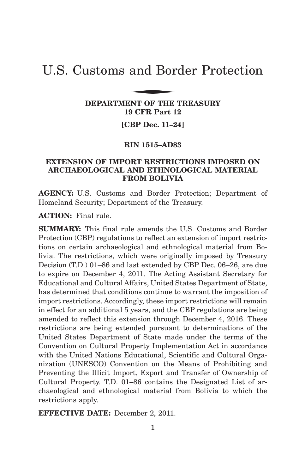# U.S. Customs and Border Protection and Bor

# **DEPARTMENT OF THE TREASURY 19 CFR Part 12**

**[CBP Dec. 11–24]**

## **RIN 1515–AD83**

# **EXTENSION OF IMPORT RESTRICTIONS IMPOSED ON ARCHAEOLOGICAL AND ETHNOLOGICAL MATERIAL FROM BOLIVIA**

**AGENCY:** U.S. Customs and Border Protection; Department of Homeland Security; Department of the Treasury.

**ACTION:** Final rule.

**SUMMARY:** This final rule amends the U.S. Customs and Border Protection (CBP) regulations to reflect an extension of import restrictions on certain archaeological and ethnological material from Bolivia. The restrictions, which were originally imposed by Treasury Decision (T.D.) 01–86 and last extended by CBP Dec. 06–26, are due to expire on December 4, 2011. The Acting Assistant Secretary for Educational and Cultural Affairs, United States Department of State, has determined that conditions continue to warrant the imposition of import restrictions. Accordingly, these import restrictions will remain in effect for an additional 5 years, and the CBP regulations are being amended to reflect this extension through December 4, 2016. These restrictions are being extended pursuant to determinations of the United States Department of State made under the terms of the Convention on Cultural Property Implementation Act in accordance with the United Nations Educational, Scientific and Cultural Organization (UNESCO) Convention on the Means of Prohibiting and Preventing the Illicit Import, Export and Transfer of Ownership of Cultural Property. T.D. 01–86 contains the Designated List of archaeological and ethnological material from Bolivia to which the restrictions apply.

**EFFECTIVE DATE:** December 2, 2011.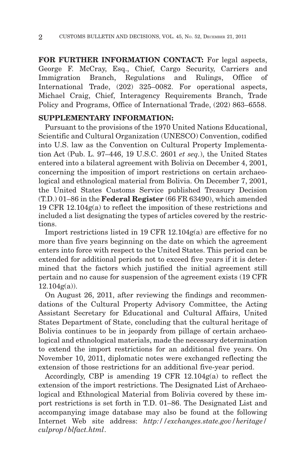**FOR FURTHER INFORMATION CONTACT:** For legal aspects, George F. McCray, Esq., Chief, Cargo Security, Carriers and Immigration Branch, Regulations and Rulings, Office of International Trade, (202) 325–0082. For operational aspects, Michael Craig, Chief, Interagency Requirements Branch, Trade Policy and Programs, Office of International Trade, (202) 863–6558.

## **SUPPLEMENTARY INFORMATION:**

Pursuant to the provisions of the 1970 United Nations Educational, Scientific and Cultural Organization (UNESCO) Convention, codified into U.S. law as the Convention on Cultural Property Implementation Act (Pub. L. 97–446, 19 U.S.C. 2601 *et seq.*), the United States entered into a bilateral agreement with Bolivia on December 4, 2001, concerning the imposition of import restrictions on certain archaeological and ethnological material from Bolivia. On December 7, 2001, the United States Customs Service published Treasury Decision (T.D.) 01–86 in the **Federal Register** (66 FR 63490), which amended 19 CFR 12.104g(a) to reflect the imposition of these restrictions and included a list designating the types of articles covered by the restrictions.

Import restrictions listed in 19 CFR 12.104g(a) are effective for no more than five years beginning on the date on which the agreement enters into force with respect to the United States. This period can be extended for additional periods not to exceed five years if it is determined that the factors which justified the initial agreement still pertain and no cause for suspension of the agreement exists (19 CFR  $12.104g(a)$ .

On August 26, 2011, after reviewing the findings and recommendations of the Cultural Property Advisory Committee, the Acting Assistant Secretary for Educational and Cultural Affairs, United States Department of State, concluding that the cultural heritage of Bolivia continues to be in jeopardy from pillage of certain archaeological and ethnological materials, made the necessary determination to extend the import restrictions for an additional five years. On November 10, 2011, diplomatic notes were exchanged reflecting the extension of those restrictions for an additional five-year period.

Accordingly, CBP is amending 19 CFR 12.104g(a) to reflect the extension of the import restrictions. The Designated List of Archaeological and Ethnological Material from Bolivia covered by these import restrictions is set forth in T.D. 01–86. The Designated List and accompanying image database may also be found at the following Internet Web site address: *http://exchanges.state.gov/heritage/ culprop/blfact.html*.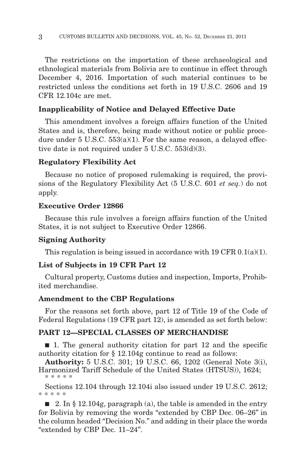The restrictions on the importation of these archaeological and ethnological materials from Bolivia are to continue in effect through December 4, 2016. Importation of such material continues to be restricted unless the conditions set forth in 19 U.S.C. 2606 and 19 CFR 12.104c are met.

#### **Inapplicability of Notice and Delayed Effective Date**

This amendment involves a foreign affairs function of the United States and is, therefore, being made without notice or public procedure under  $5 \text{ U.S.C. } 553(a)(1)$ . For the same reason, a delayed effective date is not required under 5 U.S.C. 553(d)(3).

#### **Regulatory Flexibility Act**

Because no notice of proposed rulemaking is required, the provisions of the Regulatory Flexibility Act (5 U.S.C. 601 *et seq.*) do not apply.

## **Executive Order 12866**

Because this rule involves a foreign affairs function of the United States, it is not subject to Executive Order 12866.

#### **Signing Authority**

This regulation is being issued in accordance with 19 CFR  $0.1(a)(1)$ .

## **List of Subjects in 19 CFR Part 12**

Cultural property, Customs duties and inspection, Imports, Prohibited merchandise.

#### **Amendment to the CBP Regulations**

For the reasons set forth above, part 12 of Title 19 of the Code of Federal Regulations (19 CFR part 12), is amended as set forth below:

## **PART 12—SPECIAL CLASSES OF MERCHANDISE**

■ 1. The general authority citation for part 12 and the specific authority citation for § 12.104g continue to read as follows:

**Authority:** 5 U.S.C. 301; 19 U.S.C. 66, 1202 (General Note 3(i), Harmonized Tariff Schedule of the United States (HTSUS)), 1624; \*\*\*\*\*

Sections 12.104 through 12.104i also issued under 19 U.S.C. 2612; \*\*\*\*\*

 $\blacksquare$  2. In § 12.104g, paragraph (a), the table is amended in the entry for Bolivia by removing the words "extended by CBP Dec. 06–26" in the column headed ''Decision No.'' and adding in their place the words ''extended by CBP Dec. 11–24''.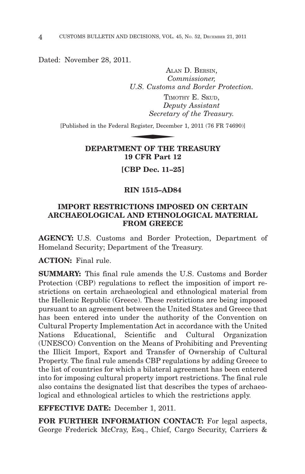Dated: November 28, 2011.

ALAN D. BERSIN, *Commissioner, U.S. Customs and Border Protection.* TIMOTHY E. SKUD. *Deputy Assistant Secretary of the Treasury.* U.S. Customs<br>TIMC<br>Depi<br>Secretar<br>Register, Decemb<br>NAMI OF TILE

[Published in the Federal Register, December 1, 2011 (76 FR 74690)]

# **DEPARTMENT OF THE TREASURY 19 CFR Part 12**

**[CBP Dec. 11–25]**

## **RIN 1515–AD84**

# **IMPORT RESTRICTIONS IMPOSED ON CERTAIN ARCHAEOLOGICAL AND ETHNOLOGICAL MATERIAL FROM GREECE**

**AGENCY:** U.S. Customs and Border Protection, Department of Homeland Security; Department of the Treasury.

**ACTION:** Final rule.

**SUMMARY:** This final rule amends the U.S. Customs and Border Protection (CBP) regulations to reflect the imposition of import restrictions on certain archaeological and ethnological material from the Hellenic Republic (Greece). These restrictions are being imposed pursuant to an agreement between the United States and Greece that has been entered into under the authority of the Convention on Cultural Property Implementation Act in accordance with the United Nations Educational, Scientific and Cultural Organization (UNESCO) Convention on the Means of Prohibiting and Preventing the Illicit Import, Export and Transfer of Ownership of Cultural Property. The final rule amends CBP regulations by adding Greece to the list of countries for which a bilateral agreement has been entered into for imposing cultural property import restrictions. The final rule also contains the designated list that describes the types of archaeological and ethnological articles to which the restrictions apply.

**EFFECTIVE DATE:** December 1, 2011.

**FOR FURTHER INFORMATION CONTACT:** For legal aspects, George Frederick McCray, Esq., Chief, Cargo Security, Carriers &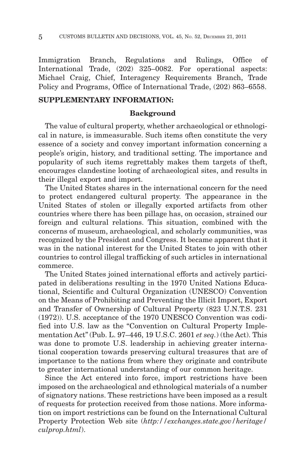Immigration Branch, Regulations and Rulings, Office of International Trade, (202) 325–0082. For operational aspects: Michael Craig, Chief, Interagency Requirements Branch, Trade Policy and Programs, Office of International Trade, (202) 863–6558.

## **SUPPLEMENTARY INFORMATION:**

#### **Background**

The value of cultural property, whether archaeological or ethnological in nature, is immeasurable. Such items often constitute the very essence of a society and convey important information concerning a people's origin, history, and traditional setting. The importance and popularity of such items regrettably makes them targets of theft, encourages clandestine looting of archaeological sites, and results in their illegal export and import.

The United States shares in the international concern for the need to protect endangered cultural property. The appearance in the United States of stolen or illegally exported artifacts from other countries where there has been pillage has, on occasion, strained our foreign and cultural relations. This situation, combined with the concerns of museum, archaeological, and scholarly communities, was recognized by the President and Congress. It became apparent that it was in the national interest for the United States to join with other countries to control illegal trafficking of such articles in international commerce.

The United States joined international efforts and actively participated in deliberations resulting in the 1970 United Nations Educational, Scientific and Cultural Organization (UNESCO) Convention on the Means of Prohibiting and Preventing the Illicit Import, Export and Transfer of Ownership of Cultural Property (823 U.N.T.S. 231 (1972)). U.S. acceptance of the 1970 UNESCO Convention was codified into U.S. law as the "Convention on Cultural Property Implementation Act'' (Pub. L. 97–446, 19 U.S.C. 2601 *et seq.*) (the Act). This was done to promote U.S. leadership in achieving greater international cooperation towards preserving cultural treasures that are of importance to the nations from where they originate and contribute to greater international understanding of our common heritage.

Since the Act entered into force, import restrictions have been imposed on the archaeological and ethnological materials of a number of signatory nations. These restrictions have been imposed as a result of requests for protection received from those nations. More information on import restrictions can be found on the International Cultural Property Protection Web site (*http://exchanges.state.gov/heritage/ culprop.html*).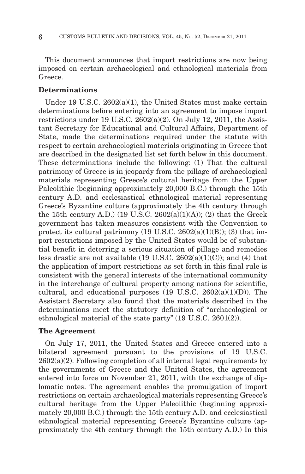This document announces that import restrictions are now being imposed on certain archaeological and ethnological materials from Greece.

#### **Determinations**

Under 19 U.S.C. 2602(a)(1), the United States must make certain determinations before entering into an agreement to impose import restrictions under 19 U.S.C.  $2602(a)(2)$ . On July 12, 2011, the Assistant Secretary for Educational and Cultural Affairs, Department of State, made the determinations required under the statute with respect to certain archaeological materials originating in Greece that are described in the designated list set forth below in this document. These determinations include the following: (1) That the cultural patrimony of Greece is in jeopardy from the pillage of archaeological materials representing Greece's cultural heritage from the Upper Paleolithic (beginning approximately 20,000 B.C.) through the 15th century A.D. and ecclesiastical ethnological material representing Greece's Byzantine culture (approximately the 4th century through the 15th century A.D.) (19 U.S.C. 2602(a)(1)(A)); (2) that the Greek government has taken measures consistent with the Convention to protect its cultural patrimony  $(19 \text{ U.S.C. } 2602(a)(1)(B))$ ;  $(3)$  that import restrictions imposed by the United States would be of substantial benefit in deterring a serious situation of pillage and remedies less drastic are not available (19 U.S.C.  $2602(a)(1)(C)$ ); and (4) that the application of import restrictions as set forth in this final rule is consistent with the general interests of the international community in the interchange of cultural property among nations for scientific, cultural, and educational purposes  $(19 \text{ U.S.C. } 2602(a)(1)(D))$ . The Assistant Secretary also found that the materials described in the determinations meet the statutory definition of ''archaeological or ethnological material of the state party'' (19 U.S.C. 2601(2)).

#### **The Agreement**

On July 17, 2011, the United States and Greece entered into a bilateral agreement pursuant to the provisions of 19 U.S.C.  $2602(a)(2)$ . Following completion of all internal legal requirements by the governments of Greece and the United States, the agreement entered into force on November 21, 2011, with the exchange of diplomatic notes. The agreement enables the promulgation of import restrictions on certain archaeological materials representing Greece's cultural heritage from the Upper Paleolithic (beginning approximately 20,000 B.C.) through the 15th century A.D. and ecclesiastical ethnological material representing Greece's Byzantine culture (approximately the 4th century through the 15th century A.D.) In this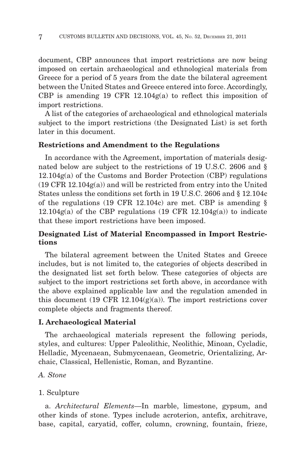document, CBP announces that import restrictions are now being imposed on certain archaeological and ethnological materials from Greece for a period of 5 years from the date the bilateral agreement between the United States and Greece entered into force. Accordingly, CBP is amending 19 CFR 12.104g(a) to reflect this imposition of import restrictions.

A list of the categories of archaeological and ethnological materials subject to the import restrictions (the Designated List) is set forth later in this document.

## **Restrictions and Amendment to the Regulations**

In accordance with the Agreement, importation of materials designated below are subject to the restrictions of 19 U.S.C. 2606 and § 12.104g(a) of the Customs and Border Protection (CBP) regulations  $(19 \text{ CFR } 12.104 \text{g(a)})$  and will be restricted from entry into the United States unless the conditions set forth in 19 U.S.C. 2606 and § 12.104c of the regulations (19 CFR 12.104c) are met. CBP is amending  $\S$  $12.104g(a)$  of the CBP regulations (19 CFR 12.104g(a)) to indicate that these import restrictions have been imposed.

# **Designated List of Material Encompassed in Import Restrictions**

The bilateral agreement between the United States and Greece includes, but is not limited to, the categories of objects described in the designated list set forth below. These categories of objects are subject to the import restrictions set forth above, in accordance with the above explained applicable law and the regulation amended in this document (19 CFR 12.104 $(g)(a)$ ). The import restrictions cover complete objects and fragments thereof.

#### **I. Archaeological Material**

The archaeological materials represent the following periods, styles, and cultures: Upper Paleolithic, Neolithic, Minoan, Cycladic, Helladic, Mycenaean, Submycenaean, Geometric, Orientalizing, Archaic, Classical, Hellenistic, Roman, and Byzantine.

#### *A. Stone*

#### 1. Sculpture

a. *Architectural Elements*—In marble, limestone, gypsum, and other kinds of stone. Types include acroterion, antefix, architrave, base, capital, caryatid, coffer, column, crowning, fountain, frieze,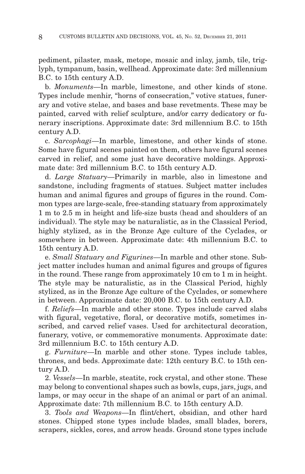pediment, pilaster, mask, metope, mosaic and inlay, jamb, tile, triglyph, tympanum, basin, wellhead. Approximate date: 3rd millennium B.C. to 15th century A.D.

b. *Monuments*—In marble, limestone, and other kinds of stone. Types include menhir, "horns of consecration," votive statues, funerary and votive stelae, and bases and base revetments. These may be painted, carved with relief sculpture, and/or carry dedicatory or funerary inscriptions. Approximate date: 3rd millennium B.C. to 15th century A.D.

c. *Sarcophagi*—In marble, limestone, and other kinds of stone. Some have figural scenes painted on them, others have figural scenes carved in relief, and some just have decorative moldings. Approximate date: 3rd millennium B.C. to 15th century A.D.

d. *Large Statuary*—Primarily in marble, also in limestone and sandstone, including fragments of statues. Subject matter includes human and animal figures and groups of figures in the round. Common types are large-scale, free-standing statuary from approximately 1 m to 2.5 m in height and life-size busts (head and shoulders of an individual). The style may be naturalistic, as in the Classical Period, highly stylized, as in the Bronze Age culture of the Cyclades, or somewhere in between. Approximate date: 4th millennium B.C. to 15th century A.D.

e. *Small Statuary and Figurines*—In marble and other stone. Subject matter includes human and animal figures and groups of figures in the round. These range from approximately 10 cm to 1 m in height. The style may be naturalistic, as in the Classical Period, highly stylized, as in the Bronze Age culture of the Cyclades, or somewhere in between. Approximate date: 20,000 B.C. to 15th century A.D.

f. *Reliefs*—In marble and other stone. Types include carved slabs with figural, vegetative, floral, or decorative motifs, sometimes inscribed, and carved relief vases. Used for architectural decoration, funerary, votive, or commemorative monuments. Approximate date: 3rd millennium B.C. to 15th century A.D.

g. *Furniture*—In marble and other stone. Types include tables, thrones, and beds. Approximate date: 12th century B.C. to 15th century A.D.

2. *Vessels*—In marble, steatite, rock crystal, and other stone. These may belong to conventional shapes such as bowls, cups, jars, jugs, and lamps, or may occur in the shape of an animal or part of an animal. Approximate date: 7th millennium B.C. to 15th century A.D.

3. *Tools and Weapons*—In flint/chert, obsidian, and other hard stones. Chipped stone types include blades, small blades, borers, scrapers, sickles, cores, and arrow heads. Ground stone types include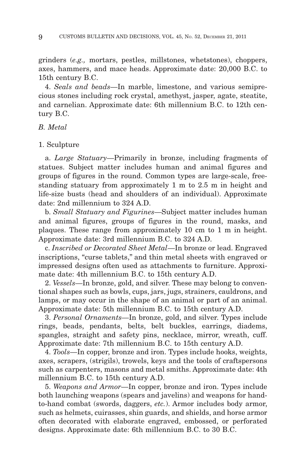grinders (*e.g.,* mortars, pestles, millstones, whetstones), choppers, axes, hammers, and mace heads. Approximate date: 20,000 B.C. to 15th century B.C.

4. *Seals and beads*—In marble, limestone, and various semiprecious stones including rock crystal, amethyst, jasper, agate, steatite, and carnelian. Approximate date: 6th millennium B.C. to 12th century B.C.

*B. Metal*

#### 1. Sculpture

a. *Large Statuary*—Primarily in bronze, including fragments of statues. Subject matter includes human and animal figures and groups of figures in the round. Common types are large-scale, freestanding statuary from approximately 1 m to 2.5 m in height and life-size busts (head and shoulders of an individual). Approximate date: 2nd millennium to 324 A.D.

b. *Small Statuary and Figurines*—Subject matter includes human and animal figures, groups of figures in the round, masks, and plaques. These range from approximately 10 cm to 1 m in height. Approximate date: 3rd millennium B.C. to 324 A.D.

c. *Inscribed or Decorated Sheet Metal*—In bronze or lead. Engraved inscriptions, "curse tablets," and thin metal sheets with engraved or impressed designs often used as attachments to furniture. Approximate date: 4th millennium B.C. to 15th century A.D.

2. *Vessels*—In bronze, gold, and silver. These may belong to conventional shapes such as bowls, cups, jars, jugs, strainers, cauldrons, and lamps, or may occur in the shape of an animal or part of an animal. Approximate date: 5th millennium B.C. to 15th century A.D.

3. *Personal Ornaments*—In bronze, gold, and silver. Types include rings, beads, pendants, belts, belt buckles, earrings, diadems, spangles, straight and safety pins, necklace, mirror, wreath, cuff. Approximate date: 7th millennium B.C. to 15th century A.D.

4. *Tools*—In copper, bronze and iron. Types include hooks, weights, axes, scrapers, (strigils), trowels, keys and the tools of craftspersons such as carpenters, masons and metal smiths. Approximate date: 4th millennium B.C. to 15th century A.D.

5. *Weapons and Armor*—In copper, bronze and iron. Types include both launching weapons (spears and javelins) and weapons for handto-hand combat (swords, daggers, *etc.*). Armor includes body armor, such as helmets, cuirasses, shin guards, and shields, and horse armor often decorated with elaborate engraved, embossed, or perforated designs. Approximate date: 6th millennium B.C. to 30 B.C.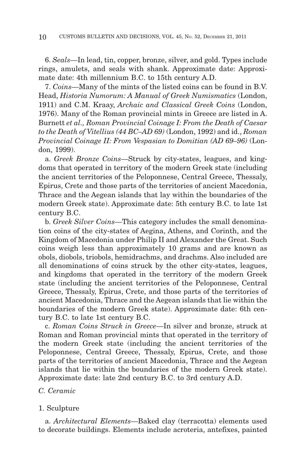6. *Seals*—In lead, tin, copper, bronze, silver, and gold. Types include rings, amulets, and seals with shank. Approximate date: Approximate date: 4th millennium B.C. to 15th century A.D.

7. *Coins*—Many of the mints of the listed coins can be found in B.V. Head, *Historia Numorum: A Manual of Greek Numismatics* (London, 1911) and C.M. Kraay, *Archaic and Classical Greek Coins* (London, 1976). Many of the Roman provincial mints in Greece are listed in A. Burnett *et al., Roman Provincial Coinage I: From the Death of Caesar to the Death of Vitellius (44 BC–AD 69)* (London, 1992) and id., *Roman Provincial Coinage II: From Vespasian to Domitian (AD 69–96)* (London, 1999).

a. *Greek Bronze Coins*—Struck by city-states, leagues, and kingdoms that operated in territory of the modern Greek state (including the ancient territories of the Peloponnese, Central Greece, Thessaly, Epirus, Crete and those parts of the territories of ancient Macedonia, Thrace and the Aegean islands that lay within the boundaries of the modern Greek state). Approximate date: 5th century B.C. to late 1st century B.C.

b. *Greek Silver Coins*—This category includes the small denomination coins of the city-states of Aegina, Athens, and Corinth, and the Kingdom of Macedonia under Philip II and Alexander the Great. Such coins weigh less than approximately 10 grams and are known as obols, diobols, triobols, hemidrachms, and drachms. Also included are all denominations of coins struck by the other city-states, leagues, and kingdoms that operated in the territory of the modern Greek state (including the ancient territories of the Peloponnese, Central Greece, Thessaly, Epirus, Crete, and those parts of the territories of ancient Macedonia, Thrace and the Aegean islands that lie within the boundaries of the modern Greek state). Approximate date: 6th century B.C. to late 1st century B.C.

c. *Roman Coins Struck in Greece*—In silver and bronze, struck at Roman and Roman provincial mints that operated in the territory of the modern Greek state (including the ancient territories of the Peloponnese, Central Greece, Thessaly, Epirus, Crete, and those parts of the territories of ancient Macedonia, Thrace and the Aegean islands that lie within the boundaries of the modern Greek state). Approximate date: late 2nd century B.C. to 3rd century A.D.

## *C. Ceramic*

#### 1. Sculpture

a. *Architectural Elements*—Baked clay (terracotta) elements used to decorate buildings. Elements include acroteria, antefixes, painted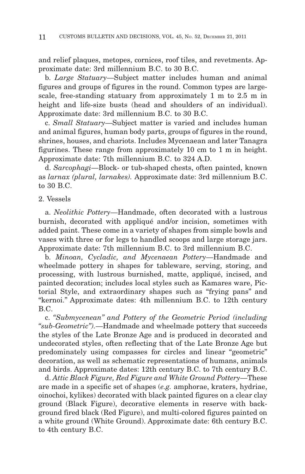and relief plaques, metopes, cornices, roof tiles, and revetments. Approximate date: 3rd millennium B.C. to 30 B.C.

b. *Large Statuary*—Subject matter includes human and animal figures and groups of figures in the round. Common types are largescale, free-standing statuary from approximately 1 m to 2.5 m in height and life-size busts (head and shoulders of an individual). Approximate date: 3rd millennium B.C. to 30 B.C.

c. *Small Statuary*—Subject matter is varied and includes human and animal figures, human body parts, groups of figures in the round, shrines, houses, and chariots. Includes Mycenaean and later Tanagra figurines. These range from approximately 10 cm to 1 m in height. Approximate date: 7th millennium B.C. to 324 A.D.

d. *Sarcophagi*—Block- or tub-shaped chests, often painted, known as *larnax (plural, larnakes).* Approximate date: 3rd millennium B.C. to 30 B.C.

#### 2. Vessels

a. *Neolithic Pottery*—Handmade, often decorated with a lustrous burnish, decorated with appliqué and/or incision, sometimes with added paint. These come in a variety of shapes from simple bowls and vases with three or for legs to handled scoops and large storage jars. Approximate date: 7th millennium B.C. to 3rd millennium B.C.

b. *Minoan, Cycladic, and Mycenaean Pottery*—Handmade and wheelmade pottery in shapes for tableware, serving, storing, and processing, with lustrous burnished, matte, appliqué, incised, and painted decoration; includes local styles such as Kamares ware, Pictorial Style, and extraordinary shapes such as ''frying pans'' and "kernoi." Approximate dates: 4th millennium B.C. to 12th century B.C.

c. *''Submycenean'' and Pottery of the Geometric Period (including ''sub-Geometric'').*—Handmade and wheelmade pottery that succeeds the styles of the Late Bronze Age and is produced in decorated and undecorated styles, often reflecting that of the Late Bronze Age but predominately using compasses for circles and linear ''geometric'' decoration, as well as schematic representations of humans, animals and birds. Approximate dates: 12th century B.C. to 7th century B.C.

d. *Attic Black Figure, Red Figure and White Ground Pottery*—These are made in a specific set of shapes (*e.g.* amphorae, kraters, hydriae, oinochoi, kylikes) decorated with black painted figures on a clear clay ground (Black Figure), decorative elements in reserve with background fired black (Red Figure), and multi-colored figures painted on a white ground (White Ground). Approximate date: 6th century B.C. to 4th century B.C.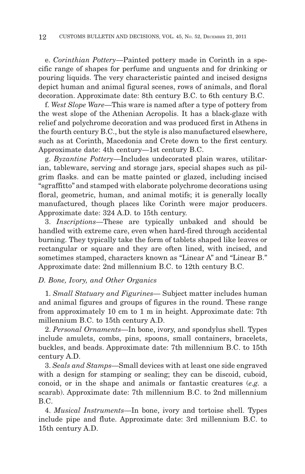e. *Corinthian Pottery*—Painted pottery made in Corinth in a specific range of shapes for perfume and unguents and for drinking or pouring liquids. The very characteristic painted and incised designs depict human and animal figural scenes, rows of animals, and floral decoration. Approximate date: 8th century B.C. to 6th century B.C.

f. *West Slope Ware*—This ware is named after a type of pottery from the west slope of the Athenian Acropolis. It has a black-glaze with relief and polychrome decoration and was produced first in Athens in the fourth century B.C., but the style is also manufactured elsewhere, such as at Corinth, Macedonia and Crete down to the first century. Approximate date: 4th century—1st century B.C.

g. *Byzantine Pottery*—Includes undecorated plain wares, utilitarian, tableware, serving and storage jars, special shapes such as pilgrim flasks. and can be matte painted or glazed, including incised ''sgraffitto'' and stamped with elaborate polychrome decorations using floral, geometric, human, and animal motifs; it is generally locally manufactured, though places like Corinth were major producers. Approximate date: 324 A.D. to 15th century.

3. *Inscriptions*—These are typically unbaked and should be handled with extreme care, even when hard-fired through accidental burning. They typically take the form of tablets shaped like leaves or rectangular or square and they are often lined, with incised, and sometimes stamped, characters known as "Linear A" and "Linear B." Approximate date: 2nd millennium B.C. to 12th century B.C.

## *D. Bone, Ivory, and Other Organics*

1. *Small Statuary and Figurines*— Subject matter includes human and animal figures and groups of figures in the round. These range from approximately 10 cm to 1 m in height. Approximate date: 7th millennium B.C. to 15th century A.D.

2. *Personal Ornaments*—In bone, ivory, and spondylus shell. Types include amulets, combs, pins, spoons, small containers, bracelets, buckles, and beads. Approximate date: 7th millennium B.C. to 15th century A.D.

3. *Seals and Stamps*—Small devices with at least one side engraved with a design for stamping or sealing; they can be discoid, cuboid, conoid, or in the shape and animals or fantastic creatures (*e.g.* a scarab). Approximate date: 7th millennium B.C. to 2nd millennium B.C.

4. *Musical Instruments*—In bone, ivory and tortoise shell. Types include pipe and flute. Approximate date: 3rd millennium B.C. to 15th century A.D.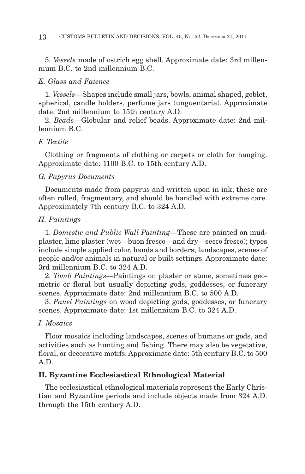5. *Vessels* made of ostrich egg shell. Approximate date: 3rd millennium B.C. to 2nd millennium B.C.

#### *E. Glass and Faience*

1. *Vessels*—Shapes include small jars, bowls, animal shaped, goblet, spherical, candle holders, perfume jars (unguentaria). Approximate date: 2nd millennium to 15th century A.D.

2. *Beads*—Globular and relief beads. Approximate date: 2nd millennium B.C.

## *F. Textile*

Clothing or fragments of clothing or carpets or cloth for hanging. Approximate date: 1100 B.C. to 15th century A.D.

#### *G. Papyrus Documents*

Documents made from papyrus and written upon in ink; these are often rolled, fragmentary, and should be handled with extreme care. Approximately 7th century B.C. to 324 A.D.

#### *H. Paintings*

1. *Domestic and Public Wall Painting*—These are painted on mudplaster, lime plaster (wet—buon fresco—and dry—secco fresco); types include simple applied color, bands and borders, landscapes, scenes of people and/or animals in natural or built settings. Approximate date: 3rd millennium B.C. to 324 A.D.

2. *Tomb Paintings*—Paintings on plaster or stone, sometimes geometric or floral but usually depicting gods, goddesses, or funerary scenes. Approximate date: 2nd millennium B.C. to 500 A.D.

3. *Panel Paintings* on wood depicting gods, goddesses, or funerary scenes. Approximate date: 1st millennium B.C. to 324 A.D.

#### *I. Mosaics*

Floor mosaics including landscapes, scenes of humans or gods, and activities such as hunting and fishing. There may also be vegetative, floral, or decorative motifs. Approximate date: 5th century B.C. to 500 A.D.

## **II. Byzantine Ecclesiastical Ethnological Material**

The ecclesiastical ethnological materials represent the Early Christian and Byzantine periods and include objects made from 324 A.D. through the 15th century A.D.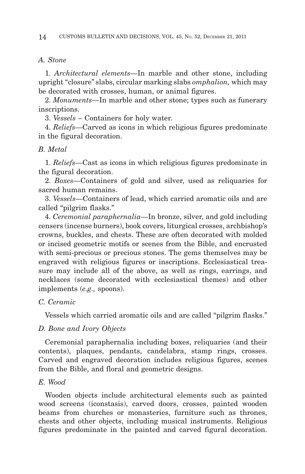#### *A. Stone*

1. *Architectural elements*—In marble and other stone, including upright ''closure'' slabs, circular marking slabs *omphalion,* which may be decorated with crosses, human, or animal figures.

2. *Monuments*—In marble and other stone; types such as funerary inscriptions.

3. *Vessels* – Containers for holy water.

4. *Reliefs*—Carved as icons in which religious figures predominate in the figural decoration.

#### *B. Metal*

1. *Reliefs*—Cast as icons in which religious figures predominate in the figural decoration.

2. *Boxes*—Containers of gold and silver, used as reliquaries for sacred human remains.

3. *Vessels*—Containers of lead, which carried aromatic oils and are called ''pilgrim flasks.''

4. *Ceremonial paraphernalia*—In bronze, silver, and gold including censers (incense burners), book covers, liturgical crosses, archbishop's crowns, buckles, and chests. These are often decorated with molded or incised geometric motifs or scenes from the Bible, and encrusted with semi-precious or precious stones. The gems themselves may be engraved with religious figures or inscriptions. Ecclesiastical treasure may include all of the above, as well as rings, earrings, and necklaces (some decorated with ecclesiastical themes) and other implements (*e.g.,* spoons).

## *C. Ceramic*

Vessels which carried aromatic oils and are called ''pilgrim flasks.''

#### *D. Bone and Ivory Objects*

Ceremonial paraphernalia including boxes, reliquaries (and their contents), plaques, pendants, candelabra, stamp rings, crosses. Carved and engraved decoration includes religious figures, scenes from the Bible, and floral and geometric designs.

## *E. Wood*

Wooden objects include architectural elements such as painted wood screens (iconstasis), carved doors, crosses, painted wooden beams from churches or monasteries, furniture such as thrones, chests and other objects, including musical instruments. Religious figures predominate in the painted and carved figural decoration.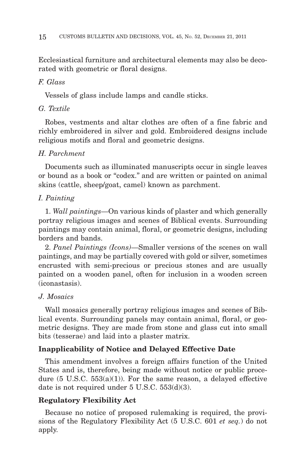Ecclesiastical furniture and architectural elements may also be decorated with geometric or floral designs.

# *F. Glass*

Vessels of glass include lamps and candle sticks.

# *G. Textile*

Robes, vestments and altar clothes are often of a fine fabric and richly embroidered in silver and gold. Embroidered designs include religious motifs and floral and geometric designs.

# *H. Parchment*

Documents such as illuminated manuscripts occur in single leaves or bound as a book or ''codex.'' and are written or painted on animal skins (cattle, sheep/goat, camel) known as parchment.

# *I. Painting*

1. *Wall paintings*—On various kinds of plaster and which generally portray religious images and scenes of Biblical events. Surrounding paintings may contain animal, floral, or geometric designs, including borders and bands.

2. *Panel Paintings (Icons)*—Smaller versions of the scenes on wall paintings, and may be partially covered with gold or silver, sometimes encrusted with semi-precious or precious stones and are usually painted on a wooden panel, often for inclusion in a wooden screen (iconastasis).

# *J. Mosaics*

Wall mosaics generally portray religious images and scenes of Biblical events. Surrounding panels may contain animal, floral, or geometric designs. They are made from stone and glass cut into small bits (tesserae) and laid into a plaster matrix.

# **Inapplicability of Notice and Delayed Effective Date**

This amendment involves a foreign affairs function of the United States and is, therefore, being made without notice or public procedure  $(5 \text{ U.S.C. } 553(a)(1))$ . For the same reason, a delayed effective date is not required under 5 U.S.C. 553(d)(3).

## **Regulatory Flexibility Act**

Because no notice of proposed rulemaking is required, the provisions of the Regulatory Flexibility Act (5 U.S.C. 601 *et seq.*) do not apply.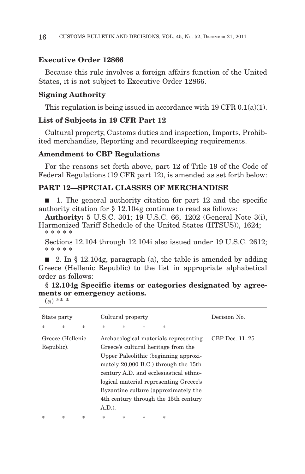## **Executive Order 12866**

Because this rule involves a foreign affairs function of the United States, it is not subject to Executive Order 12866.

# **Signing Authority**

This regulation is being issued in accordance with  $19 \text{ CFR } 0.1(a)(1)$ .

## **List of Subjects in 19 CFR Part 12**

Cultural property, Customs duties and inspection, Imports, Prohibited merchandise, Reporting and recordkeeping requirements.

#### **Amendment to CBP Regulations**

For the reasons set forth above, part 12 of Title 19 of the Code of Federal Regulations (19 CFR part 12), is amended as set forth below:

# **PART 12—SPECIAL CLASSES OF MERCHANDISE**

■ 1. The general authority citation for part 12 and the specific authority citation for § 12.104g continue to read as follows:

**Authority:** 5 U.S.C. 301; 19 U.S.C. 66, 1202 (General Note 3(i), Harmonized Tariff Schedule of the United States (HTSUS)), 1624; \*\*\*\*\*

Sections 12.104 through 12.104i also issued under 19 U.S.C. 2612; \*\*\*\*\*

■ 2. In § 12.104g, paragraph (a), the table is amended by adding Greece (Hellenic Republic) to the list in appropriate alphabetical order as follows:

**§ 12.104g Specific items or categories designated by agreements or emergency actions.**

 $(a)$  \*\* \*

| State party           |                  |                       | Cultural property                      |                       |   |                       | Decision No.     |
|-----------------------|------------------|-----------------------|----------------------------------------|-----------------------|---|-----------------------|------------------|
| $\frac{1}{2\sqrt{3}}$ | $\ast$           | $\frac{1}{2\sqrt{3}}$ | $\ast$                                 | $\frac{1}{2\sqrt{3}}$ | 冰 | $\frac{1}{2\sqrt{3}}$ |                  |
|                       | Greece (Hellenic |                       | Archaeological materials representing  |                       |   |                       | CBP Dec. $11-25$ |
| Republic).            |                  |                       | Greece's cultural heritage from the    |                       |   |                       |                  |
|                       |                  |                       | Upper Paleolithic (beginning approxi-  |                       |   |                       |                  |
|                       |                  |                       | mately 20,000 B.C.) through the 15th   |                       |   |                       |                  |
|                       |                  |                       | century A.D. and ecclesiastical ethno- |                       |   |                       |                  |
|                       |                  |                       | logical material representing Greece's |                       |   |                       |                  |
|                       |                  |                       | Byzantine culture (approximately the   |                       |   |                       |                  |
|                       |                  |                       | 4th century through the 15th century   |                       |   |                       |                  |
|                       |                  |                       | A.D.                                   |                       |   |                       |                  |
| 永                     | ∗                | $\frac{1}{2}$         | *                                      | $\frac{1}{2}$         | * | *                     |                  |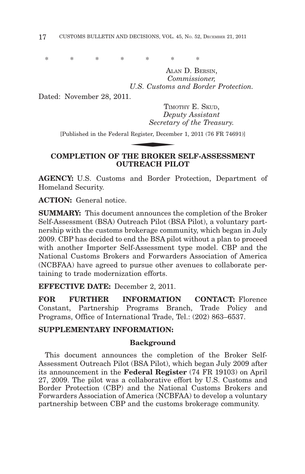\*\*\*\*\*\*\*\*

ALAN D. BERSIN, *Commissioner, U.S. Customs and Border Protection.*

Dated: November 28, 2011.

TIMOTHY E. SKUD, *Deputy Assistant Secretary of the Treasury.* - TIMC<br>
Depi<br>
Secretar:<br>
Register, Decemb<br>
HITE PROKER

[Published in the Federal Register, December 1, 2011 (76 FR 74691)]

# **COMPLETION OF THE BROKER SELF-ASSESSMENT OUTREACH PILOT**

**AGENCY:** U.S. Customs and Border Protection, Department of Homeland Security.

**ACTION:** General notice.

**SUMMARY:** This document announces the completion of the Broker Self-Assessment (BSA) Outreach Pilot (BSA Pilot), a voluntary partnership with the customs brokerage community, which began in July 2009. CBP has decided to end the BSA pilot without a plan to proceed with another Importer Self-Assessment type model. CBP and the National Customs Brokers and Forwarders Association of America (NCBFAA) have agreed to pursue other avenues to collaborate pertaining to trade modernization efforts.

**EFFECTIVE DATE:** December 2, 2011.

**FOR FURTHER INFORMATION CONTACT:** Florence Constant, Partnership Programs Branch, Trade Policy and Programs, Office of International Trade, Tel.: (202) 863–6537.

# **SUPPLEMENTARY INFORMATION:**

## **Background**

This document announces the completion of the Broker Self-Assessment Outreach Pilot (BSA Pilot), which began July 2009 after its announcement in the **Federal Register** (74 FR 19103) on April 27, 2009. The pilot was a collaborative effort by U.S. Customs and Border Protection (CBP) and the National Customs Brokers and Forwarders Association of America (NCBFAA) to develop a voluntary partnership between CBP and the customs brokerage community.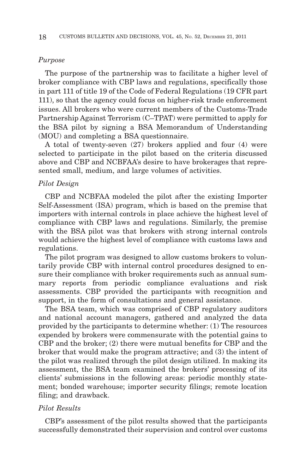#### *Purpose*

The purpose of the partnership was to facilitate a higher level of broker compliance with CBP laws and regulations, specifically those in part 111 of title 19 of the Code of Federal Regulations (19 CFR part 111), so that the agency could focus on higher-risk trade enforcement issues. All brokers who were current members of the Customs-Trade Partnership Against Terrorism (C–TPAT) were permitted to apply for the BSA pilot by signing a BSA Memorandum of Understanding (MOU) and completing a BSA questionnaire.

A total of twenty-seven (27) brokers applied and four (4) were selected to participate in the pilot based on the criteria discussed above and CBP and NCBFAA's desire to have brokerages that represented small, medium, and large volumes of activities.

#### *Pilot Design*

CBP and NCBFAA modeled the pilot after the existing Importer Self-Assessment (ISA) program, which is based on the premise that importers with internal controls in place achieve the highest level of compliance with CBP laws and regulations. Similarly, the premise with the BSA pilot was that brokers with strong internal controls would achieve the highest level of compliance with customs laws and regulations.

The pilot program was designed to allow customs brokers to voluntarily provide CBP with internal control procedures designed to ensure their compliance with broker requirements such as annual summary reports from periodic compliance evaluations and risk assessments. CBP provided the participants with recognition and support, in the form of consultations and general assistance.

The BSA team, which was comprised of CBP regulatory auditors and national account managers, gathered and analyzed the data provided by the participants to determine whether: (1) The resources expended by brokers were commensurate with the potential gains to CBP and the broker; (2) there were mutual benefits for CBP and the broker that would make the program attractive; and (3) the intent of the pilot was realized through the pilot design utilized. In making its assessment, the BSA team examined the brokers' processing of its clients' submissions in the following areas: periodic monthly statement; bonded warehouse; importer security filings; remote location filing; and drawback.

## *Pilot Results*

CBP's assessment of the pilot results showed that the participants successfully demonstrated their supervision and control over customs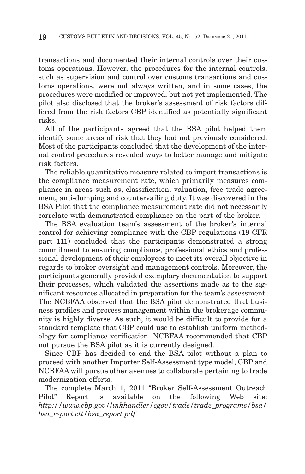transactions and documented their internal controls over their customs operations. However, the procedures for the internal controls, such as supervision and control over customs transactions and customs operations, were not always written, and in some cases, the procedures were modified or improved, but not yet implemented. The pilot also disclosed that the broker's assessment of risk factors differed from the risk factors CBP identified as potentially significant risks.

All of the participants agreed that the BSA pilot helped them identify some areas of risk that they had not previously considered. Most of the participants concluded that the development of the internal control procedures revealed ways to better manage and mitigate risk factors.

The reliable quantitative measure related to import transactions is the compliance measurement rate, which primarily measures compliance in areas such as, classification, valuation, free trade agreement, anti-dumping and countervailing duty. It was discovered in the BSA Pilot that the compliance measurement rate did not necessarily correlate with demonstrated compliance on the part of the broker.

The BSA evaluation team's assessment of the broker's internal control for achieving compliance with the CBP regulations (19 CFR part 111) concluded that the participants demonstrated a strong commitment to ensuring compliance, professional ethics and professional development of their employees to meet its overall objective in regards to broker oversight and management controls. Moreover, the participants generally provided exemplary documentation to support their processes, which validated the assertions made as to the significant resources allocated in preparation for the team's assessment. The NCBFAA observed that the BSA pilot demonstrated that business profiles and process management within the brokerage community is highly diverse. As such, it would be difficult to provide for a standard template that CBP could use to establish uniform methodology for compliance verification. NCBFAA recommended that CBP not pursue the BSA pilot as it is currently designed.

Since CBP has decided to end the BSA pilot without a plan to proceed with another Importer Self-Assessment type model, CBP and NCBFAA will pursue other avenues to collaborate pertaining to trade modernization efforts.

The complete March 1, 2011 ''Broker Self-Assessment Outreach Pilot'' Report is available on the following Web site: *http://www.cbp.gov/linkhandler/cgov/trade/trade\_programs/bsa/ bsa\_report.ctt/bsa\_report.pdf.*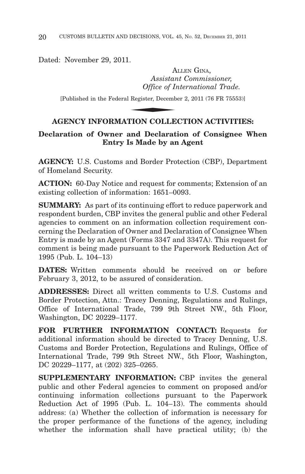Dated: November 29, 2011.

ALLEN GINA, *Assistant Commissioner, Office of International Trade.* A<br>
Assistar<br> *Office of In*<br>
Register, Decemb<br> **NION** COLLE

[Published in the Federal Register, December 2, 2011 (76 FR 75553)]

# **AGENCY INFORMATION COLLECTION ACTIVITIES:**

# **Declaration of Owner and Declaration of Consignee When Entry Is Made by an Agent**

**AGENCY:** U.S. Customs and Border Protection (CBP), Department of Homeland Security.

**ACTION:** 60-Day Notice and request for comments; Extension of an existing collection of information: 1651–0093.

**SUMMARY:** As part of its continuing effort to reduce paperwork and respondent burden, CBP invites the general public and other Federal agencies to comment on an information collection requirement concerning the Declaration of Owner and Declaration of Consignee When Entry is made by an Agent (Forms 3347 and 3347A). This request for comment is being made pursuant to the Paperwork Reduction Act of 1995 (Pub. L. 104–13)

**DATES:** Written comments should be received on or before February 3, 2012, to be assured of consideration.

**ADDRESSES:** Direct all written comments to U.S. Customs and Border Protection, Attn.: Tracey Denning, Regulations and Rulings, Office of International Trade, 799 9th Street NW., 5th Floor, Washington, DC 20229–1177.

**FOR FURTHER INFORMATION CONTACT:** Requests for additional information should be directed to Tracey Denning, U.S. Customs and Border Protection, Regulations and Rulings, Office of International Trade, 799 9th Street NW., 5th Floor, Washington, DC 20229–1177, at (202) 325–0265.

**SUPPLEMENTARY INFORMATION:** CBP invites the general public and other Federal agencies to comment on proposed and/or continuing information collections pursuant to the Paperwork Reduction Act of 1995 (Pub. L. 104–13). The comments should address: (a) Whether the collection of information is necessary for the proper performance of the functions of the agency, including whether the information shall have practical utility; (b) the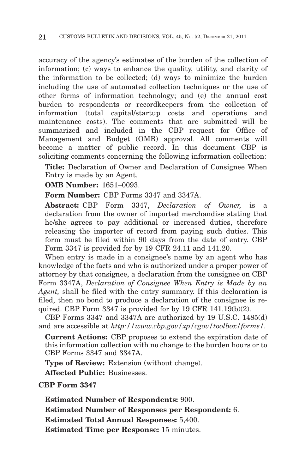accuracy of the agency's estimates of the burden of the collection of information; (c) ways to enhance the quality, utility, and clarity of the information to be collected; (d) ways to minimize the burden including the use of automated collection techniques or the use of other forms of information technology; and (e) the annual cost burden to respondents or recordkeepers from the collection of information (total capital/startup costs and operations and maintenance costs). The comments that are submitted will be summarized and included in the CBP request for Office of Management and Budget (OMB) approval. All comments will become a matter of public record. In this document CBP is soliciting comments concerning the following information collection:

**Title:** Declaration of Owner and Declaration of Consignee When Entry is made by an Agent.

**OMB Number:** 1651–0093.

**Form Number:** CBP Forms 3347 and 3347A.

**Abstract:** CBP Form 3347, *Declaration of Owner,* is a declaration from the owner of imported merchandise stating that he/she agrees to pay additional or increased duties, therefore releasing the importer of record from paying such duties. This form must be filed within 90 days from the date of entry. CBP Form 3347 is provided for by 19 CFR 24.11 and 141.20.

When entry is made in a consignee's name by an agent who has knowledge of the facts and who is authorized under a proper power of attorney by that consignee, a declaration from the consignee on CBP Form 3347A, *Declaration of Consignee When Entry is Made by an Agent,* shall be filed with the entry summary. If this declaration is filed, then no bond to produce a declaration of the consignee is required. CBP Form 3347 is provided for by 19 CFR 141.19(b)(2).

CBP Forms 3347 and 3347A are authorized by 19 U.S.C. 1485(d) and are accessible at *http://www.cbp.gov/xp/cgov/toolbox/forms/.*

**Current Actions:** CBP proposes to extend the expiration date of this information collection with no change to the burden hours or to CBP Forms 3347 and 3347A.

**Type of Review:** Extension (without change).

**Affected Public:** Businesses.

**CBP Form 3347**

**Estimated Number of Respondents:** 900. **Estimated Number of Responses per Respondent:** 6. **Estimated Total Annual Responses:** 5,400. **Estimated Time per Response:** 15 minutes.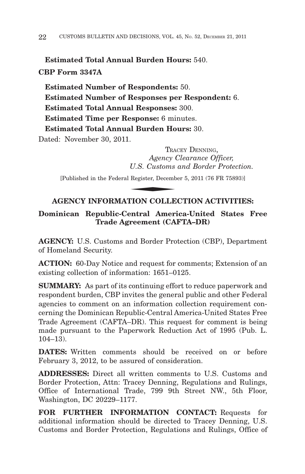**Estimated Total Annual Burden Hours:** 540. **CBP Form 3347A**

**Estimated Number of Respondents:** 50. **Estimated Number of Responses per Respondent:** 6. **Estimated Total Annual Responses:** 300. **Estimated Time per Response:** 6 minutes. **Estimated Total Annual Burden Hours:** 30. Dated: November 30, 2011.

TRACEY DENNING, *Agency Clearance Officer, U.S. Customs and Border Protection.* TRAM<br>
Agency (<br>
U.S. Customs<br>
Register, Decemb<br>
NION COLLE

[Published in the Federal Register, December 5, 2011 (76 FR 75893)]

# **AGENCY INFORMATION COLLECTION ACTIVITIES:**

# **Dominican Republic-Central America-United States Free Trade Agreement (CAFTA–DR)**

**AGENCY:** U.S. Customs and Border Protection (CBP), Department of Homeland Security.

**ACTION:** 60-Day Notice and request for comments; Extension of an existing collection of information: 1651–0125.

**SUMMARY:** As part of its continuing effort to reduce paperwork and respondent burden, CBP invites the general public and other Federal agencies to comment on an information collection requirement concerning the Dominican Republic-Central America-United States Free Trade Agreement (CAFTA–DR). This request for comment is being made pursuant to the Paperwork Reduction Act of 1995 (Pub. L. 104–13).

**DATES:** Written comments should be received on or before February 3, 2012, to be assured of consideration.

**ADDRESSES:** Direct all written comments to U.S. Customs and Border Protection, Attn: Tracey Denning, Regulations and Rulings, Office of International Trade, 799 9th Street NW., 5th Floor, Washington, DC 20229–1177.

**FOR FURTHER INFORMATION CONTACT:** Requests for additional information should be directed to Tracey Denning, U.S. Customs and Border Protection, Regulations and Rulings, Office of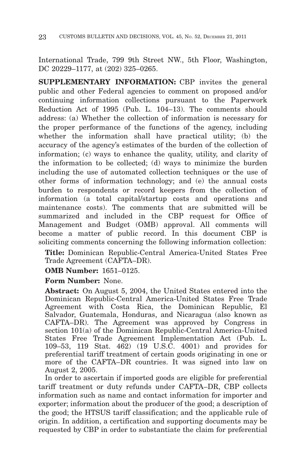International Trade, 799 9th Street NW., 5th Floor, Washington, DC 20229–1177, at (202) 325–0265.

**SUPPLEMENTARY INFORMATION:** CBP invites the general public and other Federal agencies to comment on proposed and/or continuing information collections pursuant to the Paperwork Reduction Act of 1995 (Pub. L. 104–13). The comments should address: (a) Whether the collection of information is necessary for the proper performance of the functions of the agency, including whether the information shall have practical utility; (b) the accuracy of the agency's estimates of the burden of the collection of information; (c) ways to enhance the quality, utility, and clarity of the information to be collected; (d) ways to minimize the burden including the use of automated collection techniques or the use of other forms of information technology; and (e) the annual costs burden to respondents or record keepers from the collection of information (a total capital/startup costs and operations and maintenance costs). The comments that are submitted will be summarized and included in the CBP request for Office of Management and Budget (OMB) approval. All comments will become a matter of public record. In this document CBP is soliciting comments concerning the following information collection:

**Title:** Dominican Republic-Central America-United States Free Trade Agreement (CAFTA–DR).

**OMB Number:** 1651–0125.

**Form Number:** None.

**Abstract:** On August 5, 2004, the United States entered into the Dominican Republic-Central America-United States Free Trade Agreement with Costa Rica, the Dominican Republic, El Salvador, Guatemala, Honduras, and Nicaragua (also known as CAFTA–DR). The Agreement was approved by Congress in section 101(a) of the Dominican Republic-Central America-United States Free Trade Agreement Implementation Act (Pub. L. 109–53, 119 Stat. 462) (19 U.S.C. 4001) and provides for preferential tariff treatment of certain goods originating in one or more of the CAFTA–DR countries. It was signed into law on August 2, 2005.

In order to ascertain if imported goods are eligible for preferential tariff treatment or duty refunds under CAFTA–DR, CBP collects information such as name and contact information for importer and exporter; information about the producer of the good; a description of the good; the HTSUS tariff classification; and the applicable rule of origin. In addition, a certification and supporting documents may be requested by CBP in order to substantiate the claim for preferential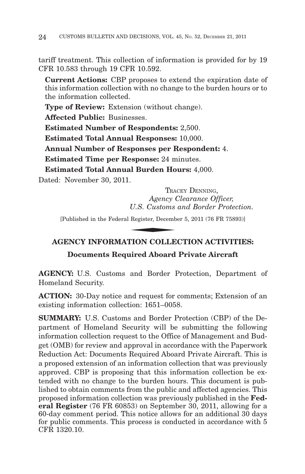tariff treatment. This collection of information is provided for by 19 CFR 10.583 through 19 CFR 10.592.

**Current Actions:** CBP proposes to extend the expiration date of this information collection with no change to the burden hours or to the information collected.

**Type of Review:** Extension (without change).

**Affected Public:** Businesses.

**Estimated Number of Respondents:** 2,500.

**Estimated Total Annual Responses:** 10,000.

**Annual Number of Responses per Respondent:** 4.

**Estimated Time per Response:** 24 minutes.

**Estimated Total Annual Burden Hours:** 4,000.

Dated: November 30, 2011.

TRACEY DENNING, *Agency Clearance Officer, U.S. Customs and Border Protection.* TRAM<br>
Agency (<br>
U.S. Customs<br>
Register, Decemb<br>
TION COLLE

[Published in the Federal Register, December 5, 2011 (76 FR 75893)]

# **AGENCY INFORMATION COLLECTION ACTIVITIES:**

# **Documents Required Aboard Private Aircraft**

**AGENCY:** U.S. Customs and Border Protection, Department of Homeland Security.

**ACTION:** 30-Day notice and request for comments; Extension of an existing information collection: 1651–0058.

**SUMMARY:** U.S. Customs and Border Protection (CBP) of the Department of Homeland Security will be submitting the following information collection request to the Office of Management and Budget (OMB) for review and approval in accordance with the Paperwork Reduction Act: Documents Required Aboard Private Aircraft. This is a proposed extension of an information collection that was previously approved. CBP is proposing that this information collection be extended with no change to the burden hours. This document is published to obtain comments from the public and affected agencies. This proposed information collection was previously published in the **Federal Register** (76 FR 60853) on September 30, 2011, allowing for a 60-day comment period. This notice allows for an additional 30 days for public comments. This process is conducted in accordance with 5 CFR 1320.10.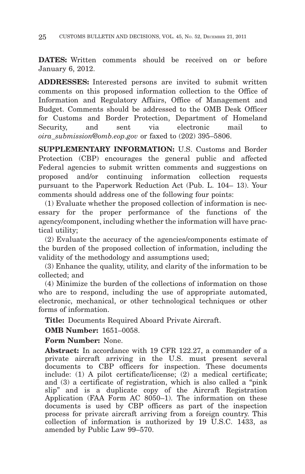**DATES:** Written comments should be received on or before January 6, 2012.

**ADDRESSES:** Interested persons are invited to submit written comments on this proposed information collection to the Office of Information and Regulatory Affairs, Office of Management and Budget. Comments should be addressed to the OMB Desk Officer for Customs and Border Protection, Department of Homeland Security, and sent via electronic mail to *oira\_submission@omb.eop.gov* or faxed to (202) 395–5806.

**SUPPLEMENTARY INFORMATION:** U.S. Customs and Border Protection (CBP) encourages the general public and affected Federal agencies to submit written comments and suggestions on proposed and/or continuing information collection requests pursuant to the Paperwork Reduction Act (Pub. L. 104– 13). Your comments should address one of the following four points:

(1) Evaluate whether the proposed collection of information is necessary for the proper performance of the functions of the agency/component, including whether the information will have practical utility;

(2) Evaluate the accuracy of the agencies/components estimate of the burden of the proposed collection of information, including the validity of the methodology and assumptions used;

(3) Enhance the quality, utility, and clarity of the information to be collected; and

(4) Minimize the burden of the collections of information on those who are to respond, including the use of appropriate automated, electronic, mechanical, or other technological techniques or other forms of information.

**Title:** Documents Required Aboard Private Aircraft.

**OMB Number:** 1651–0058.

**Form Number:** None.

**Abstract:** In accordance with 19 CFR 122.27, a commander of a private aircraft arriving in the U.S. must present several documents to CBP officers for inspection. These documents include: (1) A pilot certificate/license; (2) a medical certificate; and (3) a certificate of registration, which is also called a ''pink slip'' and is a duplicate copy of the Aircraft Registration Application (FAA Form AC  $8050-1$ ). The information on these documents is used by CBP officers as part of the inspection process for private aircraft arriving from a foreign country. This collection of information is authorized by 19 U.S.C. 1433, as amended by Public Law 99–570.